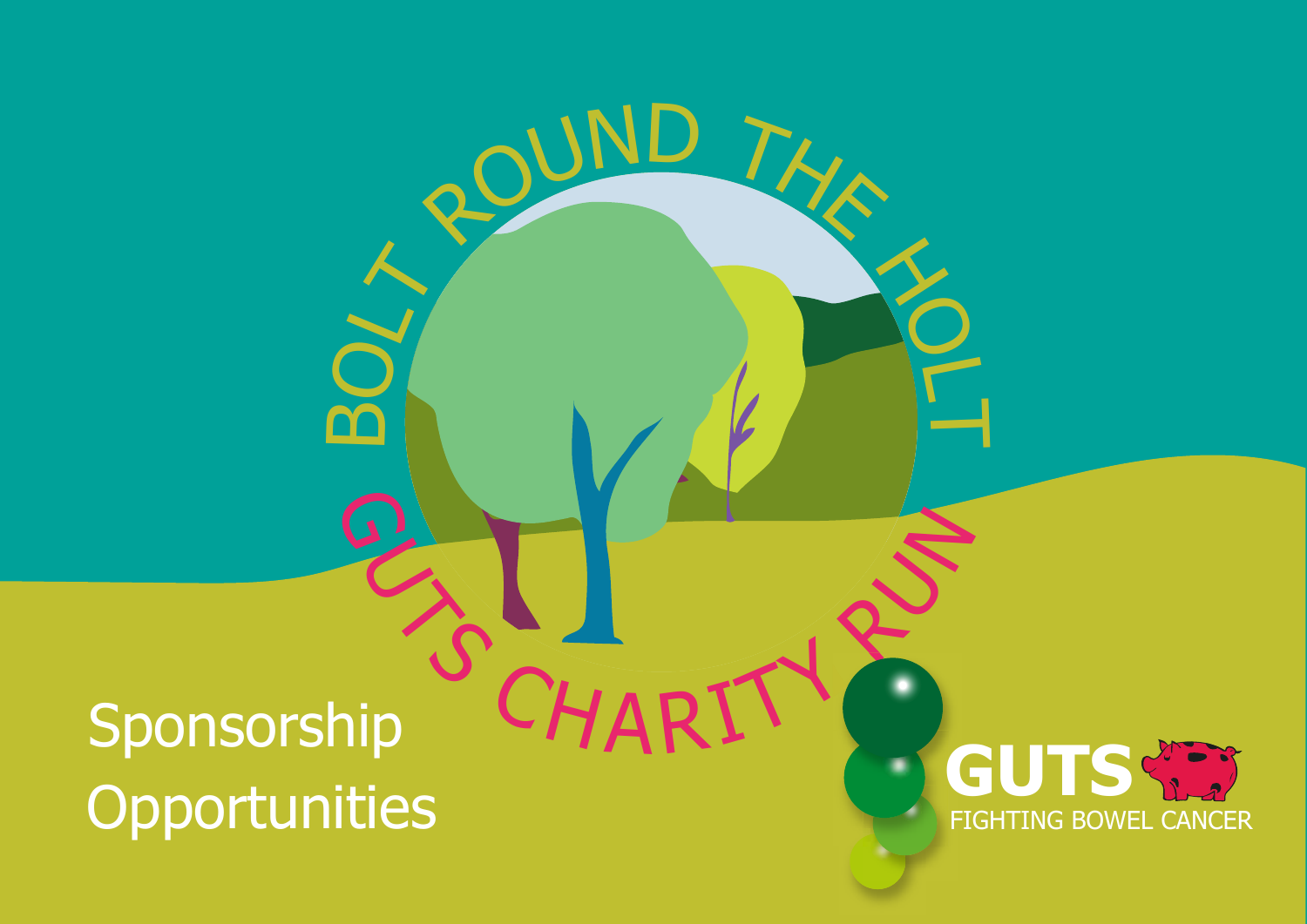# Sponsorship **Opportunities** BUT NEWS

BOUND THAT

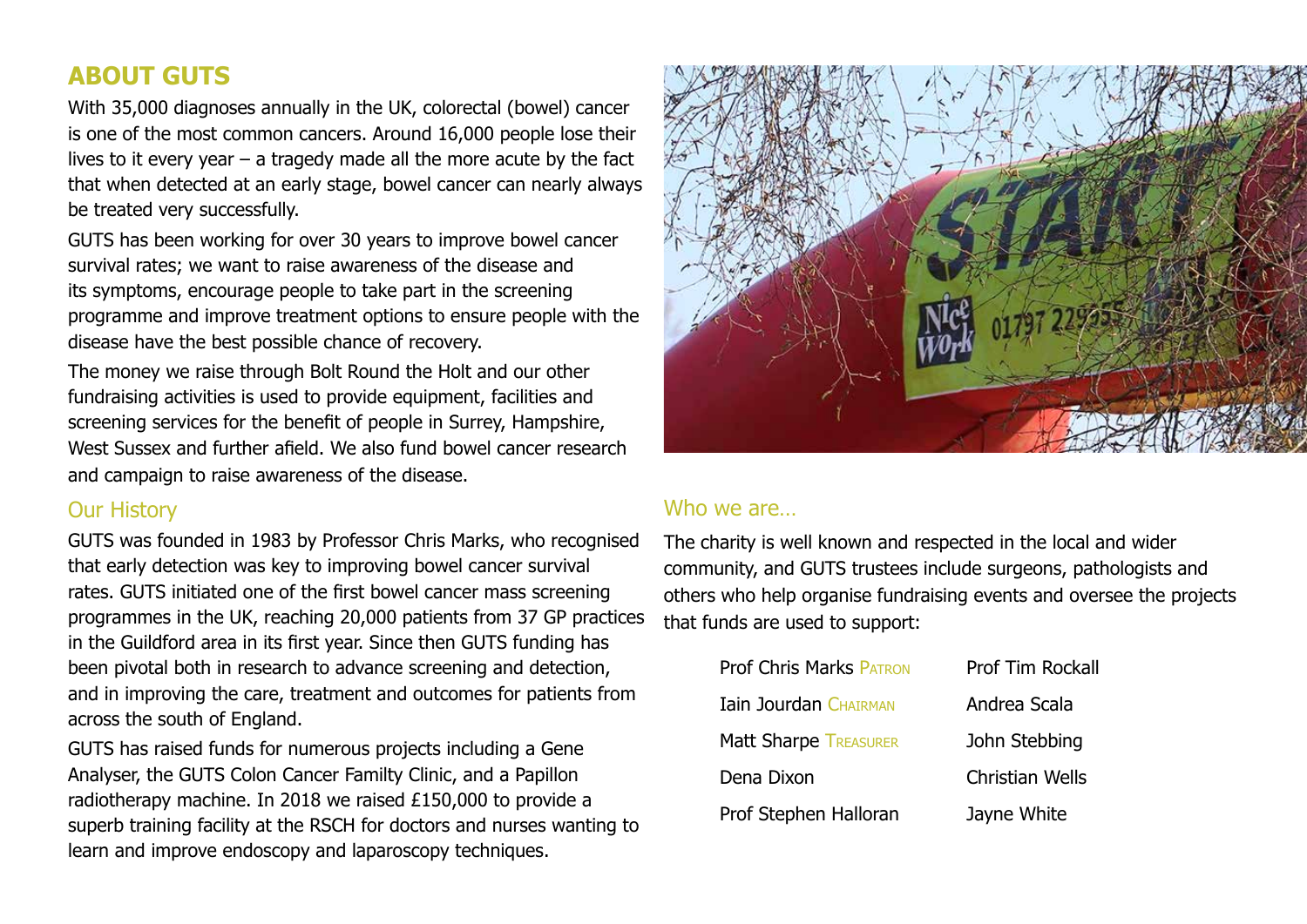#### **ABOUT GUTS**

With 35,000 diagnoses annually in the UK, colorectal (bowel) cancer is one of the most common cancers. Around 16,000 people lose their lives to it every year  $-$  a tragedy made all the more acute by the fact that when detected at an early stage, bowel cancer can nearly always be treated very successfully.

GUTS has been working for over 30 years to improve bowel cancer survival rates; we want to raise awareness of the disease and its symptoms, encourage people to take part in the screening programme and improve treatment options to ensure people with the disease have the best possible chance of recovery.

The money we raise through Bolt Round the Holt and our other fundraising activities is used to provide equipment, facilities and screening services for the benefit of people in Surrey, Hampshire, West Sussex and further afield. We also fund bowel cancer research and campaign to raise awareness of the disease.

#### Our History

GUTS was founded in 1983 by Professor Chris Marks, who recognised that early detection was key to improving bowel cancer survival rates. GUTS initiated one of the first bowel cancer mass screening programmes in the UK, reaching 20,000 patients from 37 GP practices in the Guildford area in its first year. Since then GUTS funding has been pivotal both in research to advance screening and detection, and in improving the care, treatment and outcomes for patients from across the south of England.

GUTS has raised funds for numerous projects including a Gene Analyser, the GUTS Colon Cancer Familty Clinic, and a Papillon radiotherapy machine. In 2018 we raised £150,000 to provide a superb training facility at the RSCH for doctors and nurses wanting to learn and improve endoscopy and laparoscopy techniques.



#### Who we are

The charity is well known and respected in the local and wider community, and GUTS trustees include surgeons, pathologists and others who help organise fundraising events and oversee the projects that funds are used to support:

| <b>Prof Chris Marks PATRON</b> | Prof Tim Rocka         |
|--------------------------------|------------------------|
| <b>Iain Jourdan CHAIRMAN</b>   | Andrea Scala           |
| <b>Matt Sharpe TREASURER</b>   | John Stebbing          |
| Dena Dixon                     | <b>Christian Wells</b> |
| Prof Stephen Halloran          | Jayne White            |

**Rockall**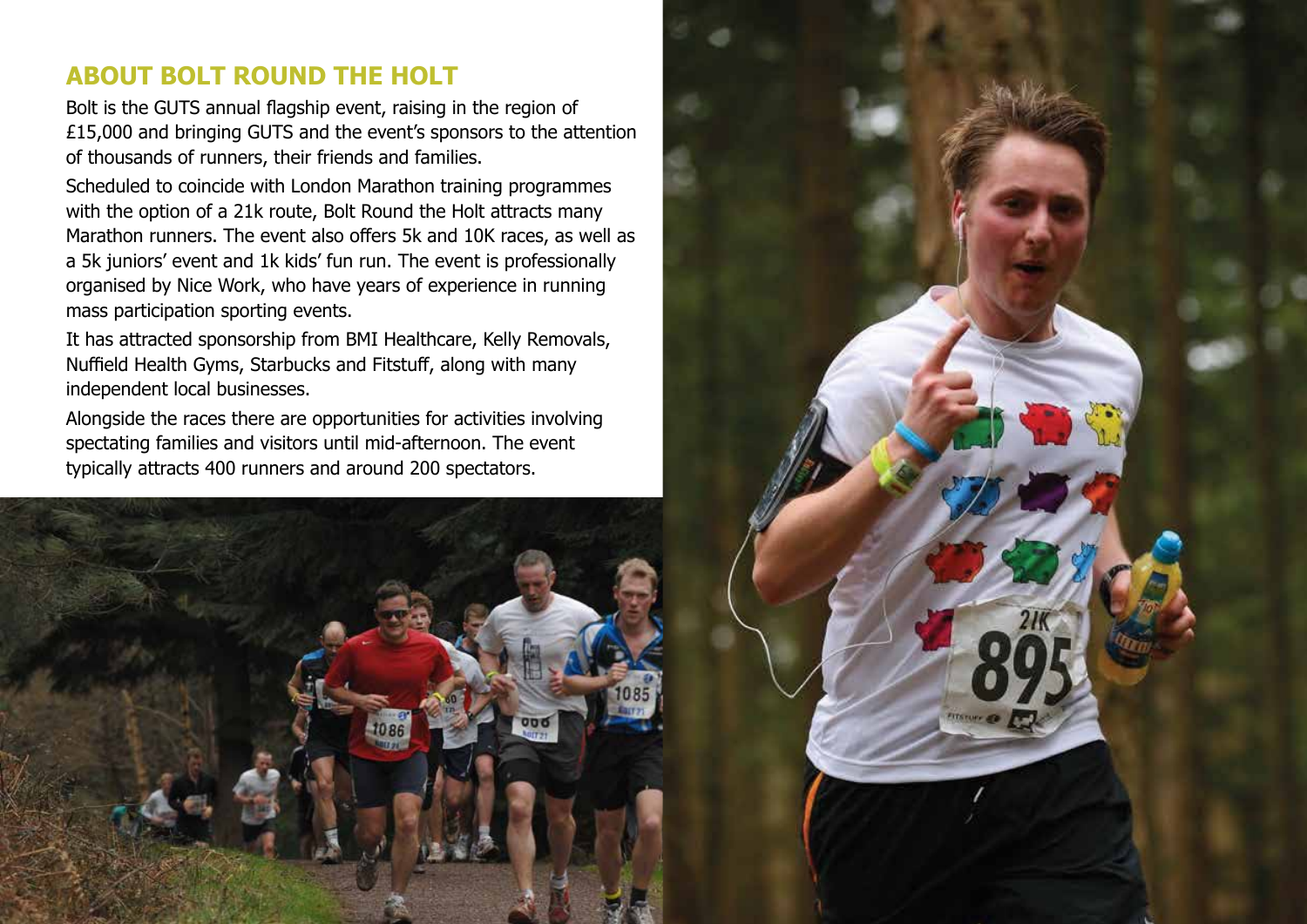#### **ABOUT BOLT ROUND THE HOLT**

Bolt is the GUTS annual flagship event, raising in the region of £15,000 and bringing GUTS and the event's sponsors to the attention of thousands of runners, their friends and families.

Scheduled to coincide with London Marathon training programmes with the option of a 21k route, Bolt Round the Holt attracts many Marathon runners. The event also offers 5k and 10K races, as well as a 5k juniors' event and 1k kids' fun run. The event is professionally organised by Nice Work, who have years of experience in running mass participation sporting events.

It has attracted sponsorship from BMI Healthcare, Kelly Removals, Nuffield Health Gyms, Starbucks and Fitstuff, along with many independent local businesses.

Alongside the races there are opportunities for activities involving spectating families and visitors until mid-afternoon. The event typically attracts 400 runners and around 200 spectators.



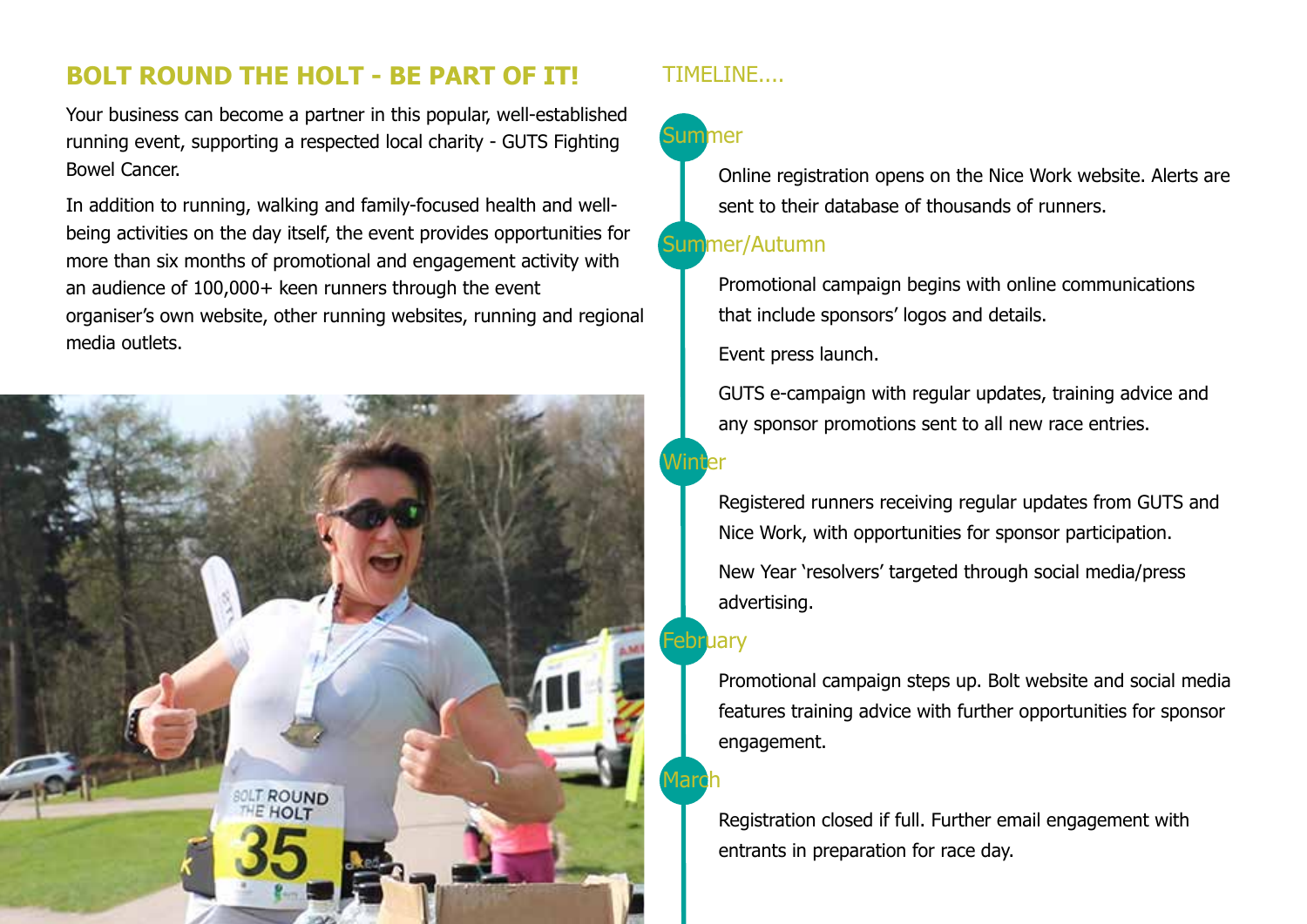#### **BOLT ROUND THE HOLT - BE PART OF IT!**

Your business can become a partner in this popular, well-established running event, supporting a respected local charity - GUTS Fighting Bowel Cancer.

In addition to running, walking and family-focused health and wellbeing activities on the day itself, the event provides opportunities for more than six months of promotional and engagement activity with an audience of 100,000+ keen runners through the event organiser's own website, other running websites, running and regional media outlets.



#### TIMELINE....

### **Summer**

Online registration opens on the Nice Work website. Alerts are sent to their database of thousands of runners.

#### Summer/Autumn

Promotional campaign begins with online communications that include sponsors' logos and details.

Event press launch.

GUTS e-campaign with regular updates, training advice and any sponsor promotions sent to all new race entries.

Registered runners receiving regular updates from GUTS and Nice Work, with opportunities for sponsor participation. New Year 'resolvers' targeted through social media/press advertising.

#### February

Promotional campaign steps up. Bolt website and social media features training advice with further opportunities for sponsor engagement.

Registration closed if full. Further email engagement with entrants in preparation for race day.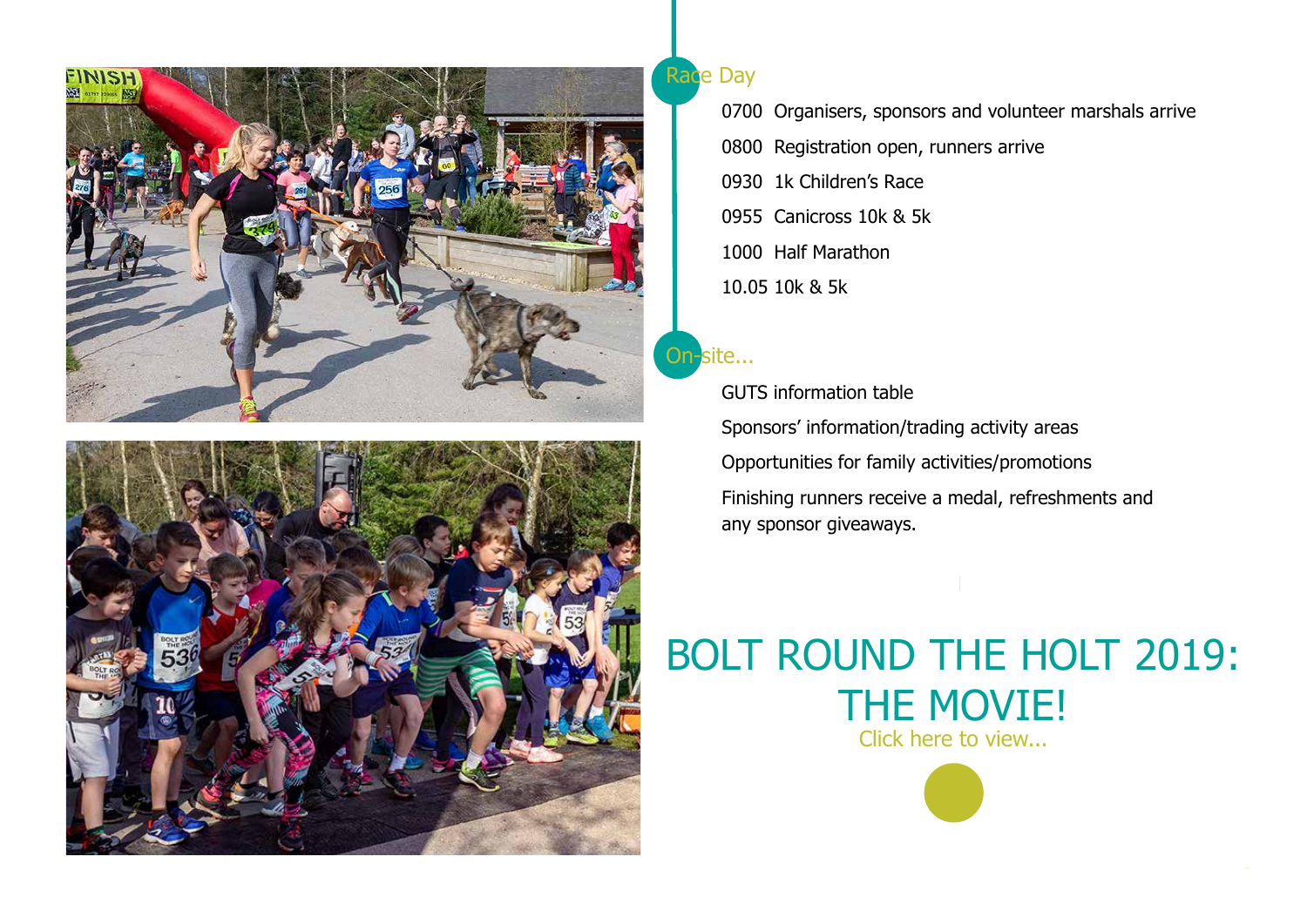



#### **Race Day**

0700 Organisers, sponsors and volunteer marshals arrive 0800 Registration open, runners arrive 0930 1k Children's Race 0955 Canicross 10k & 5k 1000 Half Marathon 10.05 10k & 5k

#### On-site...

GUTS information table Sponsors' information/trading activity areas Opportunities for family activities/promotions Finishing runners receive a medal, refreshments and any sponsor giveaways.

## BOLT ROUND THE HOLT 2019: THE MOVIE! Click here to view...

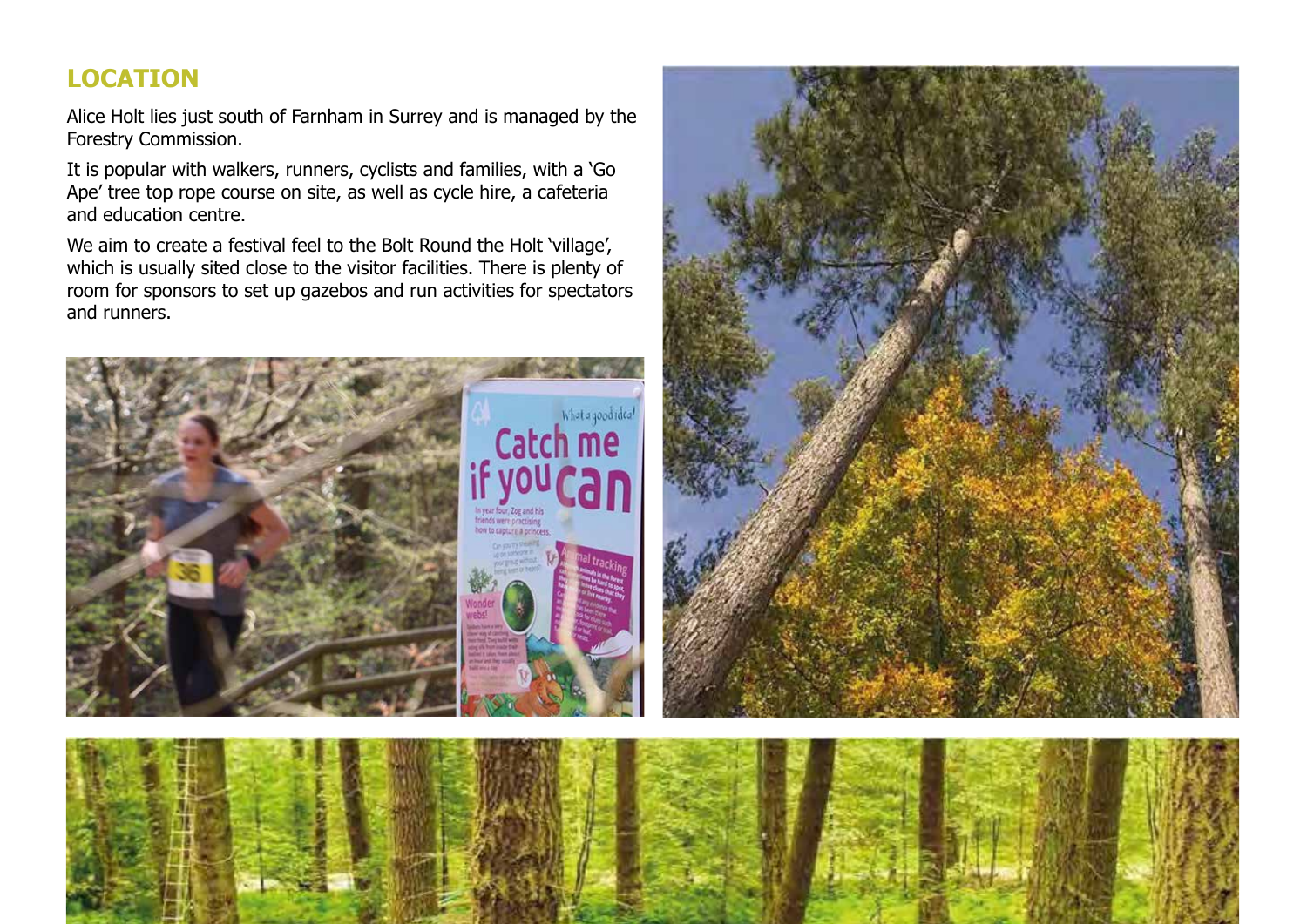#### **LOCATION**

Alice Holt lies just south of Farnham in Surrey and is managed by the Forestry Commission.

It is popular with walkers, runners, cyclists and families, with a 'Go Ape' tree top rope course on site, as well as cycle hire, a cafeteria and education centre.

We aim to create a festival feel to the Bolt Round the Holt 'village', which is usually sited close to the visitor facilities. There is plenty of room for sponsors to set up gazebos and run activities for spectators and runners.





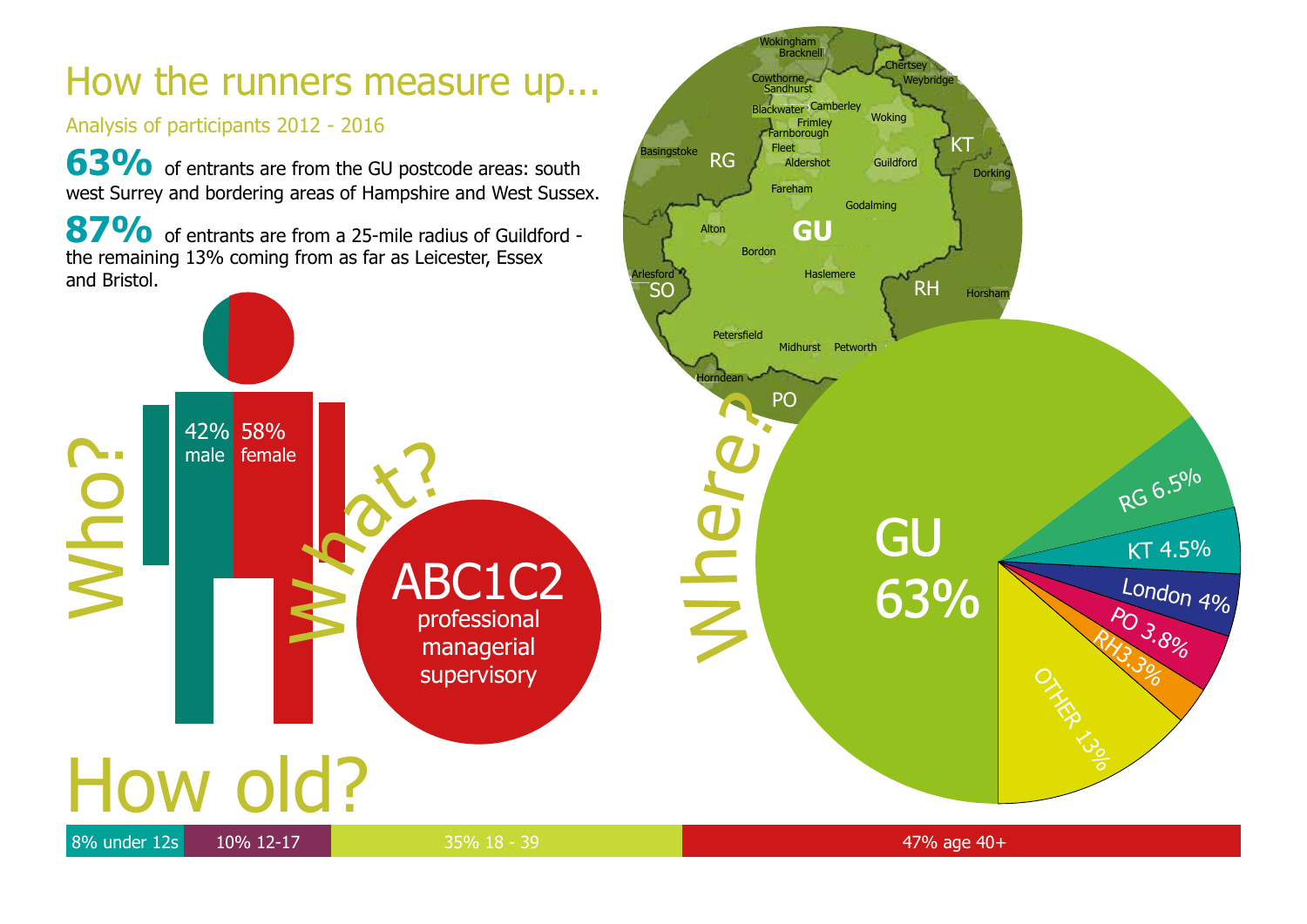# How the runners measure up...

#### Analysis of participants 2012 - 2016

**63%** of entrants are from the GU postcode areas: south west Surrey and bordering areas of Hampshire and West Sussex.

87% of entrants are from a 25-mile radius of Guildford the remaining 13% coming from as far as Leicester, Essex and Bristol.